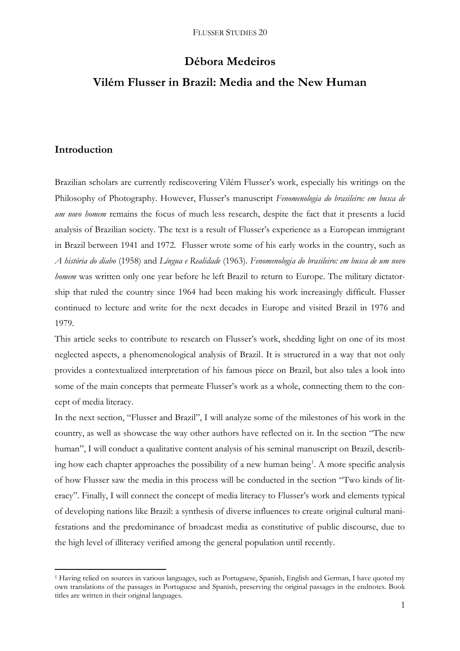# **Débora Medeiros**

# **Vilém Flusser in Brazil: Media and the New Human**

# **Introduction**

1

Brazilian scholars are currently rediscovering Vilém Flusser's work, especially his writings on the Philosophy of Photography. However, Flusser's manuscript *Fenomenologia do brasileiro: em busca de um novo homem* remains the focus of much less research, despite the fact that it presents a lucid analysis of Brazilian society. The text is a result of Flusser's experience as a European immigrant in Brazil between 1941 and 1972. Flusser wrote some of his early works in the country, such as *A história do diabo* (1958) and *Língua e Realidade* (1963). *Fenomenologia do brasileiro: em busca de um novo homem* was written only one year before he left Brazil to return to Europe. The military dictatorship that ruled the country since 1964 had been making his work increasingly difficult. Flusser continued to lecture and write for the next decades in Europe and visited Brazil in 1976 and 1979.

This article seeks to contribute to research on Flusser's work, shedding light on one of its most neglected aspects, a phenomenological analysis of Brazil. It is structured in a way that not only provides a contextualized interpretation of his famous piece on Brazil, but also tales a look into some of the main concepts that permeate Flusser's work as a whole, connecting them to the concept of media literacy.

In the next section, "Flusser and Brazil", I will analyze some of the milestones of his work in the country, as well as showcase the way other authors have reflected on it. In the section "The new human", I will conduct a qualitative content analysis of his seminal manuscript on Brazil, describing how each chapter approaches the possibility of a new human being<sup>1</sup>. A more specific analysis of how Flusser saw the media in this process will be conducted in the section "Two kinds of literacy". Finally, I will connect the concept of media literacy to Flusser's work and elements typical of developing nations like Brazil: a synthesis of diverse influences to create original cultural manifestations and the predominance of broadcast media as constitutive of public discourse, due to the high level of illiteracy verified among the general population until recently.

<sup>&</sup>lt;sup>1</sup> Having relied on sources in various languages, such as Portuguese, Spanish, English and German, I have quoted my own translations of the passages in Portuguese and Spanish, preserving the original passages in the endnotes. Book titles are written in their original languages.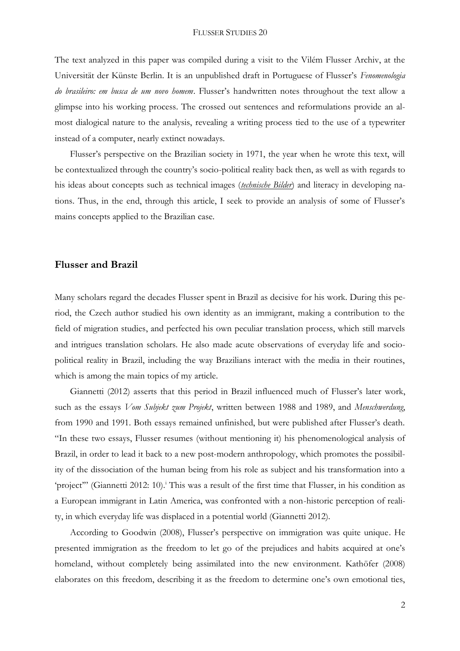The text analyzed in this paper was compiled during a visit to the Vilém Flusser Archiv, at the Universität der Künste Berlin. It is an unpublished draft in Portuguese of Flusser's *Fenomenologia do brasileiro: em busca de um novo homem*. Flusser's handwritten notes throughout the text allow a glimpse into his working process. The crossed out sentences and reformulations provide an almost dialogical nature to the analysis, revealing a writing process tied to the use of a typewriter instead of a computer, nearly extinct nowadays.

Flusser's perspective on the Brazilian society in 1971, the year when he wrote this text, will be contextualized through the country's socio-political reality back then, as well as with regards to his ideas about concepts such as technical images (*technische Bilder*) and literacy in developing nations. Thus, in the end, through this article, I seek to provide an analysis of some of Flusser's mains concepts applied to the Brazilian case.

### **Flusser and Brazil**

Many scholars regard the decades Flusser spent in Brazil as decisive for his work. During this period, the Czech author studied his own identity as an immigrant, making a contribution to the field of migration studies, and perfected his own peculiar translation process, which still marvels and intrigues translation scholars. He also made acute observations of everyday life and sociopolitical reality in Brazil, including the way Brazilians interact with the media in their routines, which is among the main topics of my article.

Giannetti (2012) asserts that this period in Brazil influenced much of Flusser's later work, such as the essays *Vom Subjekt zum Projekt*, written between 1988 and 1989, and *Menschwerdung*, from 1990 and 1991. Both essays remained unfinished, but were published after Flusser's death. "In these two essays, Flusser resumes (without mentioning it) his phenomenological analysis of Brazil, in order to lead it back to a new post-modern anthropology, which promotes the possibility of the dissociation of the human being from his role as subject and his transformation into a 'project'" (Giannetti 2012: 10). <sup>i</sup> This was a result of the first time that Flusser, in his condition as a European immigrant in Latin America, was confronted with a non-historic perception of reality, in which everyday life was displaced in a potential world (Giannetti 2012).

According to Goodwin (2008), Flusser's perspective on immigration was quite unique. He presented immigration as the freedom to let go of the prejudices and habits acquired at one's homeland, without completely being assimilated into the new environment. Kathöfer (2008) elaborates on this freedom, describing it as the freedom to determine one's own emotional ties,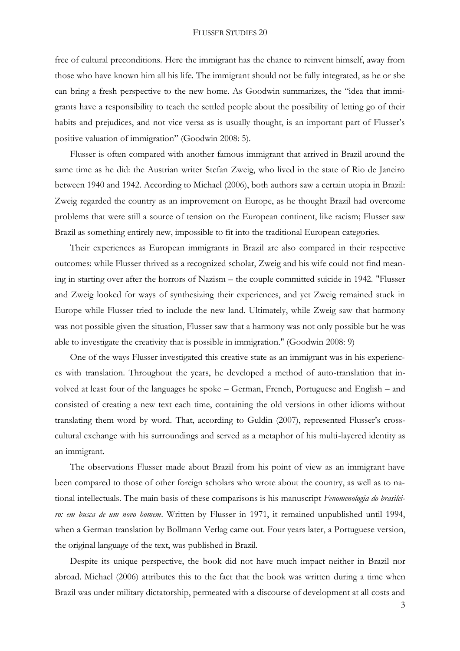free of cultural preconditions. Here the immigrant has the chance to reinvent himself, away from those who have known him all his life. The immigrant should not be fully integrated, as he or she can bring a fresh perspective to the new home. As Goodwin summarizes, the "idea that immigrants have a responsibility to teach the settled people about the possibility of letting go of their habits and prejudices, and not vice versa as is usually thought, is an important part of Flusser's positive valuation of immigration" (Goodwin 2008: 5).

Flusser is often compared with another famous immigrant that arrived in Brazil around the same time as he did: the Austrian writer Stefan Zweig, who lived in the state of Rio de Janeiro between 1940 and 1942. According to Michael (2006), both authors saw a certain utopia in Brazil: Zweig regarded the country as an improvement on Europe, as he thought Brazil had overcome problems that were still a source of tension on the European continent, like racism; Flusser saw Brazil as something entirely new, impossible to fit into the traditional European categories.

Their experiences as European immigrants in Brazil are also compared in their respective outcomes: while Flusser thrived as a recognized scholar, Zweig and his wife could not find meaning in starting over after the horrors of Nazism – the couple committed suicide in 1942. "Flusser and Zweig looked for ways of synthesizing their experiences, and yet Zweig remained stuck in Europe while Flusser tried to include the new land. Ultimately, while Zweig saw that harmony was not possible given the situation, Flusser saw that a harmony was not only possible but he was able to investigate the creativity that is possible in immigration." (Goodwin 2008: 9)

One of the ways Flusser investigated this creative state as an immigrant was in his experiences with translation. Throughout the years, he developed a method of auto-translation that involved at least four of the languages he spoke – German, French, Portuguese and English – and consisted of creating a new text each time, containing the old versions in other idioms without translating them word by word. That, according to Guldin (2007), represented Flusser's crosscultural exchange with his surroundings and served as a metaphor of his multi-layered identity as an immigrant.

The observations Flusser made about Brazil from his point of view as an immigrant have been compared to those of other foreign scholars who wrote about the country, as well as to national intellectuals. The main basis of these comparisons is his manuscript *Fenomenologia do brasileiro: em busca de um novo homem*. Written by Flusser in 1971, it remained unpublished until 1994, when a German translation by Bollmann Verlag came out. Four years later, a Portuguese version, the original language of the text, was published in Brazil.

Despite its unique perspective, the book did not have much impact neither in Brazil nor abroad. Michael (2006) attributes this to the fact that the book was written during a time when Brazil was under military dictatorship, permeated with a discourse of development at all costs and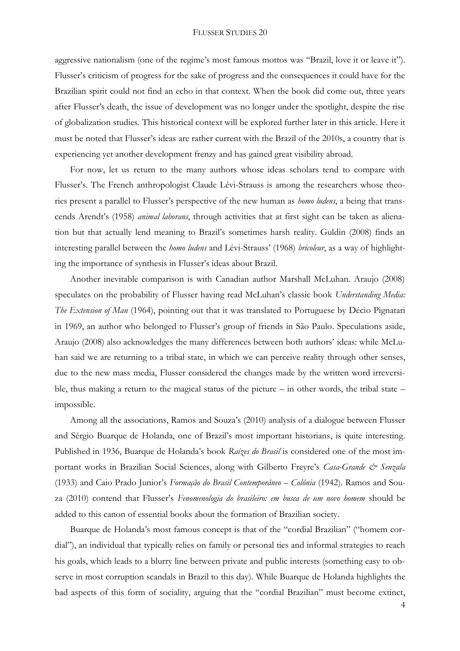aggressive nationalism (one of the regime's most famous mottos was "Brazil, love it or leave it"). Flusser's criticism of progress for the sake of progress and the consequences it could have for the Brazilian spirit could not find an echo in that context. When the book did come out, three years after Flusser's death, the issue of development was no longer under the spotlight, despite the rise of globalization studies. This historical context will be explored further later in this article. Here it must be noted that Flusser's ideas are rather current with the Brazil of the 2010s, a country that is experiencing yet another development frenzy and has gained great visibility abroad.

For now, let us return to the many authors whose ideas scholars tend to compare with Flusser's. The French anthropologist Claude Lévi-Strauss is among the researchers whose theories present a parallel to Flusser's perspective of the new human as *homo ludens*, a being that transcends Arendt's (1958) *animal laborans*, through activities that at first sight can be taken as alienation but that actually lend meaning to Brazil's sometimes harsh reality. Guldin (2008) finds an interesting parallel between the *homo ludens* and Lévi-Strauss' (1968) *bricoleur*, as a way of highlighting the importance of synthesis in Flusser's ideas about Brazil.

Another inevitable comparison is with Canadian author Marshall McLuhan. Araujo (2008) speculates on the probability of Flusser having read McLuhan's classic book *Understanding Media: The Extension of Man* (1964), pointing out that it was translated to Portuguese by Décio Pignatari in 1969, an author who belonged to Flusser's group of friends in São Paulo. Speculations aside, Araujo (2008) also acknowledges the many differences between both authors' ideas: while McLuhan said we are returning to a tribal state, in which we can perceive reality through other senses, due to the new mass media, Flusser considered the changes made by the written word irreversible, thus making a return to the magical status of the picture – in other words, the tribal state – impossible.

Among all the associations, Ramos and Souza's (2010) analysis of a dialogue between Flusser and Sérgio Buarque de Holanda, one of Brazil's most important historians, is quite interesting. Published in 1936, Buarque de Holanda's book *Raízes do Brasil* is considered one of the most important works in Brazilian Social Sciences, along with Gilberto Freyre's *Casa-Grande & Senzala* (1933) and Caio Prado Junior's *Formação do Brasil Contemporâneo – Colônia* (1942). Ramos and Souza (2010) contend that Flusser's *Fenomenologia do brasileiro: em busca de um novo homem* should be added to this canon of essential books about the formation of Brazilian society.

Buarque de Holanda's most famous concept is that of the "cordial Brazilian" ("homem cordial"), an individual that typically relies on family or personal ties and informal strategies to reach his goals, which leads to a blurry line between private and public interests (something easy to observe in most corruption scandals in Brazil to this day). While Buarque de Holanda highlights the bad aspects of this form of sociality, arguing that the "cordial Brazilian" must become extinct,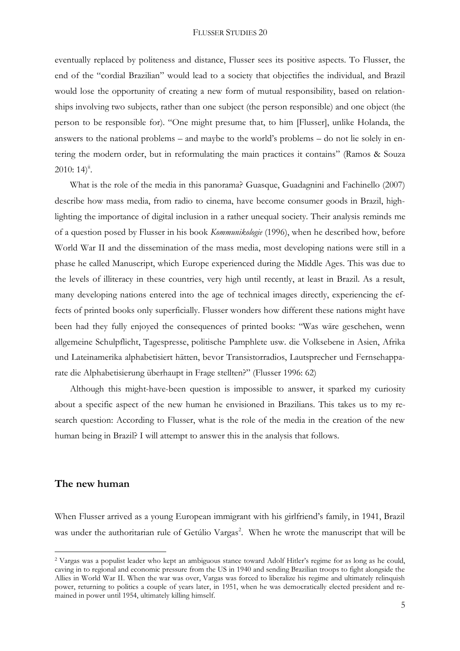eventually replaced by politeness and distance, Flusser sees its positive aspects. To Flusser, the end of the "cordial Brazilian" would lead to a society that objectifies the individual, and Brazil would lose the opportunity of creating a new form of mutual responsibility, based on relationships involving two subjects, rather than one subject (the person responsible) and one object (the person to be responsible for). "One might presume that, to him [Flusser], unlike Holanda, the answers to the national problems – and maybe to the world's problems – do not lie solely in entering the modern order, but in reformulating the main practices it contains" (Ramos & Souza  $2010:14$ <sup>ii</sup>.

What is the role of the media in this panorama? Guasque, Guadagnini and Fachinello (2007) describe how mass media, from radio to cinema, have become consumer goods in Brazil, highlighting the importance of digital inclusion in a rather unequal society. Their analysis reminds me of a question posed by Flusser in his book *Kommunikologie* (1996), when he described how, before World War II and the dissemination of the mass media, most developing nations were still in a phase he called Manuscript, which Europe experienced during the Middle Ages. This was due to the levels of illiteracy in these countries, very high until recently, at least in Brazil. As a result, many developing nations entered into the age of technical images directly, experiencing the effects of printed books only superficially. Flusser wonders how different these nations might have been had they fully enjoyed the consequences of printed books: "Was wäre geschehen, wenn allgemeine Schulpflicht, Tagespresse, politische Pamphlete usw. die Volksebene in Asien, Afrika und Lateinamerika alphabetisiert hätten, bevor Transistorradios, Lautsprecher und Fernsehapparate die Alphabetisierung überhaupt in Frage stellten?" (Flusser 1996: 62)

Although this might-have-been question is impossible to answer, it sparked my curiosity about a specific aspect of the new human he envisioned in Brazilians. This takes us to my research question: According to Flusser, what is the role of the media in the creation of the new human being in Brazil? I will attempt to answer this in the analysis that follows.

### **The new human**

<u>.</u>

When Flusser arrived as a young European immigrant with his girlfriend's family, in 1941, Brazil was under the authoritarian rule of Getúlio Vargas<sup>2</sup>. When he wrote the manuscript that will be

<sup>2</sup> Vargas was a populist leader who kept an ambiguous stance toward Adolf Hitler's regime for as long as he could, caving in to regional and economic pressure from the US in 1940 and sending Brazilian troops to fight alongside the Allies in World War II. When the war was over, Vargas was forced to liberalize his regime and ultimately relinquish power, returning to politics a couple of years later, in 1951, when he was democratically elected president and remained in power until 1954, ultimately killing himself.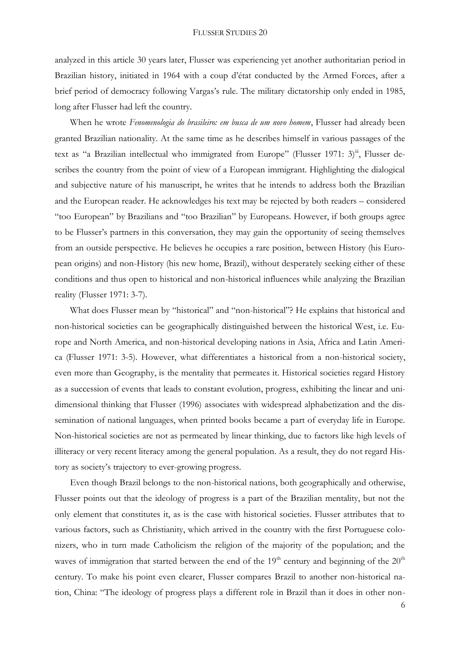analyzed in this article 30 years later, Flusser was experiencing yet another authoritarian period in Brazilian history, initiated in 1964 with a coup d'état conducted by the Armed Forces, after a brief period of democracy following Vargas's rule. The military dictatorship only ended in 1985, long after Flusser had left the country.

When he wrote *Fenomenologia do brasileiro: em busca de um novo homem*, Flusser had already been granted Brazilian nationality. At the same time as he describes himself in various passages of the text as "a Brazilian intellectual who immigrated from Europe" (Flusser 1971: 3) $\ddot{ }$ ", Flusser describes the country from the point of view of a European immigrant. Highlighting the dialogical and subjective nature of his manuscript, he writes that he intends to address both the Brazilian and the European reader. He acknowledges his text may be rejected by both readers – considered "too European" by Brazilians and "too Brazilian" by Europeans. However, if both groups agree to be Flusser's partners in this conversation, they may gain the opportunity of seeing themselves from an outside perspective. He believes he occupies a rare position, between History (his European origins) and non-History (his new home, Brazil), without desperately seeking either of these conditions and thus open to historical and non-historical influences while analyzing the Brazilian reality (Flusser 1971: 3-7).

What does Flusser mean by "historical" and "non-historical"? He explains that historical and non-historical societies can be geographically distinguished between the historical West, i.e. Europe and North America, and non-historical developing nations in Asia, Africa and Latin America (Flusser 1971: 3-5). However, what differentiates a historical from a non-historical society, even more than Geography, is the mentality that permeates it. Historical societies regard History as a succession of events that leads to constant evolution, progress, exhibiting the linear and unidimensional thinking that Flusser (1996) associates with widespread alphabetization and the dissemination of national languages, when printed books became a part of everyday life in Europe. Non-historical societies are not as permeated by linear thinking, due to factors like high levels of illiteracy or very recent literacy among the general population. As a result, they do not regard History as society's trajectory to ever-growing progress.

Even though Brazil belongs to the non-historical nations, both geographically and otherwise, Flusser points out that the ideology of progress is a part of the Brazilian mentality, but not the only element that constitutes it, as is the case with historical societies. Flusser attributes that to various factors, such as Christianity, which arrived in the country with the first Portuguese colonizers, who in turn made Catholicism the religion of the majority of the population; and the waves of immigration that started between the end of the  $19<sup>th</sup>$  century and beginning of the  $20<sup>th</sup>$ century. To make his point even clearer, Flusser compares Brazil to another non-historical nation, China: "The ideology of progress plays a different role in Brazil than it does in other non-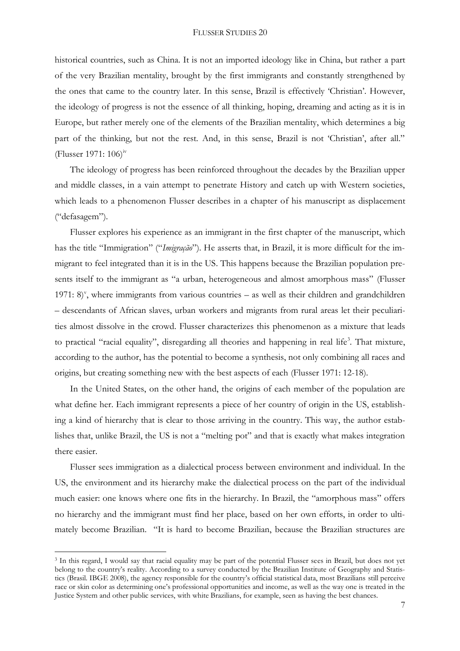historical countries, such as China. It is not an imported ideology like in China, but rather a part of the very Brazilian mentality, brought by the first immigrants and constantly strengthened by the ones that came to the country later. In this sense, Brazil is effectively 'Christian'. However, the ideology of progress is not the essence of all thinking, hoping, dreaming and acting as it is in Europe, but rather merely one of the elements of the Brazilian mentality, which determines a big part of the thinking, but not the rest. And, in this sense, Brazil is not 'Christian', after all." (Flusser 1971:  $106$ )<sup>iv</sup>

The ideology of progress has been reinforced throughout the decades by the Brazilian upper and middle classes, in a vain attempt to penetrate History and catch up with Western societies, which leads to a phenomenon Flusser describes in a chapter of his manuscript as displacement ("defasagem").

Flusser explores his experience as an immigrant in the first chapter of the manuscript, which has the title "Immigration" ("*Imigração*"). He asserts that, in Brazil, it is more difficult for the immigrant to feel integrated than it is in the US. This happens because the Brazilian population presents itself to the immigrant as "a urban, heterogeneous and almost amorphous mass" (Flusser 1971:  $8$ <sup>y</sup>, where immigrants from various countries – as well as their children and grandchildren – descendants of African slaves, urban workers and migrants from rural areas let their peculiarities almost dissolve in the crowd. Flusser characterizes this phenomenon as a mixture that leads to practical "racial equality", disregarding all theories and happening in real life<sup>3</sup>. That mixture, according to the author, has the potential to become a synthesis, not only combining all races and origins, but creating something new with the best aspects of each (Flusser 1971: 12-18).

In the United States, on the other hand, the origins of each member of the population are what define her. Each immigrant represents a piece of her country of origin in the US, establishing a kind of hierarchy that is clear to those arriving in the country. This way, the author establishes that, unlike Brazil, the US is not a "melting pot" and that is exactly what makes integration there easier.

Flusser sees immigration as a dialectical process between environment and individual. In the US, the environment and its hierarchy make the dialectical process on the part of the individual much easier: one knows where one fits in the hierarchy. In Brazil, the "amorphous mass" offers no hierarchy and the immigrant must find her place, based on her own efforts, in order to ultimately become Brazilian. "It is hard to become Brazilian, because the Brazilian structures are

<u>.</u>

<sup>&</sup>lt;sup>3</sup> In this regard, I would say that racial equality may be part of the potential Flusser sees in Brazil, but does not yet belong to the country's reality. According to a survey conducted by the Brazilian Institute of Geography and Statistics (Brasil. IBGE 2008), the agency responsible for the country's official statistical data, most Brazilians still perceive race or skin color as determining one's professional opportunities and income, as well as the way one is treated in the Justice System and other public services, with white Brazilians, for example, seen as having the best chances.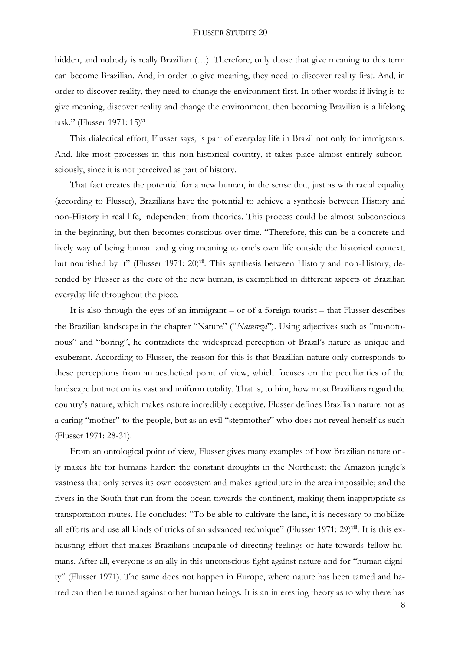hidden, and nobody is really Brazilian (...). Therefore, only those that give meaning to this term can become Brazilian. And, in order to give meaning, they need to discover reality first. And, in order to discover reality, they need to change the environment first. In other words: if living is to give meaning, discover reality and change the environment, then becoming Brazilian is a lifelong task." (Flusser 1971: 15) $\mathrm{v}$ i

This dialectical effort, Flusser says, is part of everyday life in Brazil not only for immigrants. And, like most processes in this non-historical country, it takes place almost entirely subconsciously, since it is not perceived as part of history.

That fact creates the potential for a new human, in the sense that, just as with racial equality (according to Flusser), Brazilians have the potential to achieve a synthesis between History and non-History in real life, independent from theories. This process could be almost subconscious in the beginning, but then becomes conscious over time. "Therefore, this can be a concrete and lively way of being human and giving meaning to one's own life outside the historical context, but nourished by it" (Flusser 1971: 20)<sup>vii</sup>. This synthesis between History and non-History, defended by Flusser as the core of the new human, is exemplified in different aspects of Brazilian everyday life throughout the piece.

It is also through the eyes of an immigrant – or of a foreign tourist – that Flusser describes the Brazilian landscape in the chapter "Nature" ("*Natureza*"). Using adjectives such as "monotonous" and "boring", he contradicts the widespread perception of Brazil's nature as unique and exuberant. According to Flusser, the reason for this is that Brazilian nature only corresponds to these perceptions from an aesthetical point of view, which focuses on the peculiarities of the landscape but not on its vast and uniform totality. That is, to him, how most Brazilians regard the country's nature, which makes nature incredibly deceptive. Flusser defines Brazilian nature not as a caring "mother" to the people, but as an evil "stepmother" who does not reveal herself as such (Flusser 1971: 28-31).

From an ontological point of view, Flusser gives many examples of how Brazilian nature only makes life for humans harder: the constant droughts in the Northeast; the Amazon jungle's vastness that only serves its own ecosystem and makes agriculture in the area impossible; and the rivers in the South that run from the ocean towards the continent, making them inappropriate as transportation routes. He concludes: "To be able to cultivate the land, it is necessary to mobilize all efforts and use all kinds of tricks of an advanced technique" (Flusser 1971: 29)<sup>viii</sup>. It is this exhausting effort that makes Brazilians incapable of directing feelings of hate towards fellow humans. After all, everyone is an ally in this unconscious fight against nature and for "human dignity" (Flusser 1971). The same does not happen in Europe, where nature has been tamed and hatred can then be turned against other human beings. It is an interesting theory as to why there has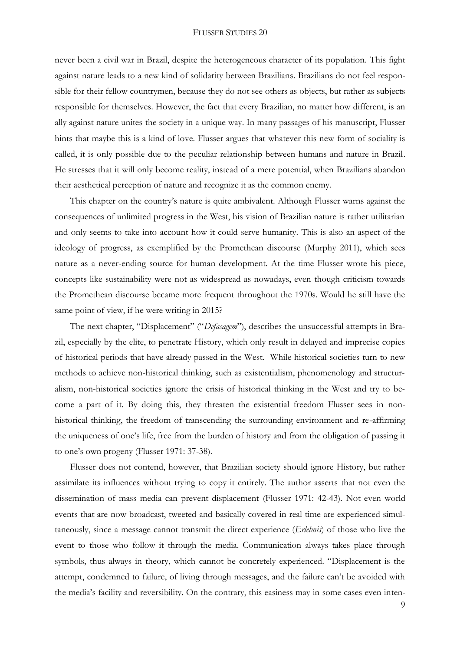never been a civil war in Brazil, despite the heterogeneous character of its population. This fight against nature leads to a new kind of solidarity between Brazilians. Brazilians do not feel responsible for their fellow countrymen, because they do not see others as objects, but rather as subjects responsible for themselves. However, the fact that every Brazilian, no matter how different, is an ally against nature unites the society in a unique way. In many passages of his manuscript, Flusser hints that maybe this is a kind of love. Flusser argues that whatever this new form of sociality is called, it is only possible due to the peculiar relationship between humans and nature in Brazil. He stresses that it will only become reality, instead of a mere potential, when Brazilians abandon their aesthetical perception of nature and recognize it as the common enemy.

This chapter on the country's nature is quite ambivalent. Although Flusser warns against the consequences of unlimited progress in the West, his vision of Brazilian nature is rather utilitarian and only seems to take into account how it could serve humanity. This is also an aspect of the ideology of progress, as exemplified by the Promethean discourse (Murphy 2011), which sees nature as a never-ending source for human development. At the time Flusser wrote his piece, concepts like sustainability were not as widespread as nowadays, even though criticism towards the Promethean discourse became more frequent throughout the 1970s. Would he still have the same point of view, if he were writing in 2015?

The next chapter, "Displacement" ("*Defasagem*"), describes the unsuccessful attempts in Brazil, especially by the elite, to penetrate History, which only result in delayed and imprecise copies of historical periods that have already passed in the West. While historical societies turn to new methods to achieve non-historical thinking, such as existentialism, phenomenology and structuralism, non-historical societies ignore the crisis of historical thinking in the West and try to become a part of it. By doing this, they threaten the existential freedom Flusser sees in nonhistorical thinking, the freedom of transcending the surrounding environment and re-affirming the uniqueness of one's life, free from the burden of history and from the obligation of passing it to one's own progeny (Flusser 1971: 37-38).

Flusser does not contend, however, that Brazilian society should ignore History, but rather assimilate its influences without trying to copy it entirely. The author asserts that not even the dissemination of mass media can prevent displacement (Flusser 1971: 42-43). Not even world events that are now broadcast, tweeted and basically covered in real time are experienced simultaneously, since a message cannot transmit the direct experience (*Erlebnis*) of those who live the event to those who follow it through the media. Communication always takes place through symbols, thus always in theory, which cannot be concretely experienced. "Displacement is the attempt, condemned to failure, of living through messages, and the failure can't be avoided with the media's facility and reversibility. On the contrary, this easiness may in some cases even inten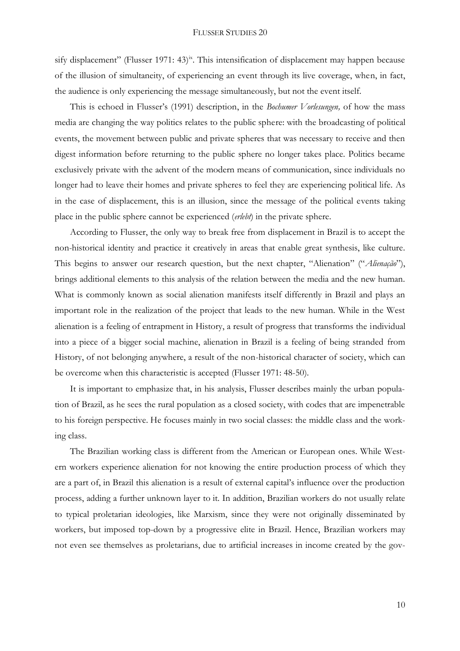sify displacement" (Flusser 1971: 43)<sup>ix</sup>. This intensification of displacement may happen because of the illusion of simultaneity, of experiencing an event through its live coverage, when, in fact, the audience is only experiencing the message simultaneously, but not the event itself.

This is echoed in Flusser's (1991) description, in the *Bochumer Vorlesungen,* of how the mass media are changing the way politics relates to the public sphere: with the broadcasting of political events, the movement between public and private spheres that was necessary to receive and then digest information before returning to the public sphere no longer takes place. Politics became exclusively private with the advent of the modern means of communication, since individuals no longer had to leave their homes and private spheres to feel they are experiencing political life. As in the case of displacement, this is an illusion, since the message of the political events taking place in the public sphere cannot be experienced (*erlebt*) in the private sphere.

According to Flusser, the only way to break free from displacement in Brazil is to accept the non-historical identity and practice it creatively in areas that enable great synthesis, like culture. This begins to answer our research question, but the next chapter, "Alienation" ("*Alienação*"), brings additional elements to this analysis of the relation between the media and the new human. What is commonly known as social alienation manifests itself differently in Brazil and plays an important role in the realization of the project that leads to the new human. While in the West alienation is a feeling of entrapment in History, a result of progress that transforms the individual into a piece of a bigger social machine, alienation in Brazil is a feeling of being stranded from History, of not belonging anywhere, a result of the non-historical character of society, which can be overcome when this characteristic is accepted (Flusser 1971: 48-50).

It is important to emphasize that, in his analysis, Flusser describes mainly the urban population of Brazil, as he sees the rural population as a closed society, with codes that are impenetrable to his foreign perspective. He focuses mainly in two social classes: the middle class and the working class.

The Brazilian working class is different from the American or European ones. While Western workers experience alienation for not knowing the entire production process of which they are a part of, in Brazil this alienation is a result of external capital's influence over the production process, adding a further unknown layer to it. In addition, Brazilian workers do not usually relate to typical proletarian ideologies, like Marxism, since they were not originally disseminated by workers, but imposed top-down by a progressive elite in Brazil. Hence, Brazilian workers may not even see themselves as proletarians, due to artificial increases in income created by the gov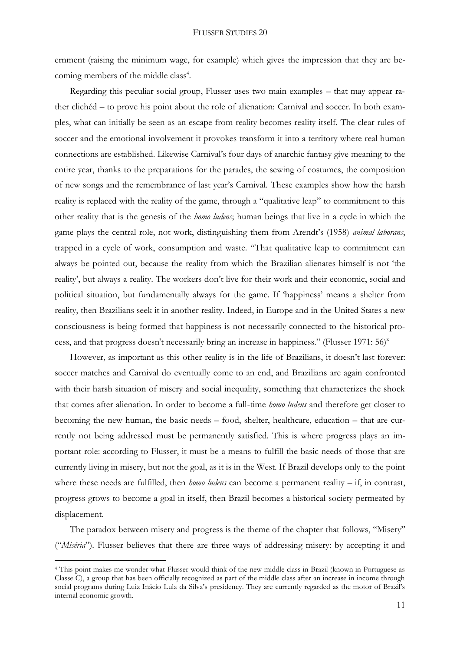ernment (raising the minimum wage, for example) which gives the impression that they are becoming members of the middle class<sup>4</sup>.

Regarding this peculiar social group, Flusser uses two main examples – that may appear rather clichéd – to prove his point about the role of alienation: Carnival and soccer. In both examples, what can initially be seen as an escape from reality becomes reality itself. The clear rules of soccer and the emotional involvement it provokes transform it into a territory where real human connections are established. Likewise Carnival's four days of anarchic fantasy give meaning to the entire year, thanks to the preparations for the parades, the sewing of costumes, the composition of new songs and the remembrance of last year's Carnival. These examples show how the harsh reality is replaced with the reality of the game, through a "qualitative leap" to commitment to this other reality that is the genesis of the *homo ludens*; human beings that live in a cycle in which the game plays the central role, not work, distinguishing them from Arendt's (1958) *animal laborans*, trapped in a cycle of work, consumption and waste. "That qualitative leap to commitment can always be pointed out, because the reality from which the Brazilian alienates himself is not 'the reality', but always a reality. The workers don't live for their work and their economic, social and political situation, but fundamentally always for the game. If 'happiness' means a shelter from reality, then Brazilians seek it in another reality. Indeed, in Europe and in the United States a new consciousness is being formed that happiness is not necessarily connected to the historical process, and that progress doesn't necessarily bring an increase in happiness." (Flusser 1971: 56)<sup>x</sup>

However, as important as this other reality is in the life of Brazilians, it doesn't last forever: soccer matches and Carnival do eventually come to an end, and Brazilians are again confronted with their harsh situation of misery and social inequality, something that characterizes the shock that comes after alienation. In order to become a full-time *homo ludens* and therefore get closer to becoming the new human, the basic needs – food, shelter, healthcare, education – that are currently not being addressed must be permanently satisfied. This is where progress plays an important role: according to Flusser, it must be a means to fulfill the basic needs of those that are currently living in misery, but not the goal, as it is in the West. If Brazil develops only to the point where these needs are fulfilled, then *homo ludens* can become a permanent reality – if, in contrast, progress grows to become a goal in itself, then Brazil becomes a historical society permeated by displacement.

The paradox between misery and progress is the theme of the chapter that follows, "Misery" ("*Miséria*"). Flusser believes that there are three ways of addressing misery: by accepting it and

1

<sup>4</sup> This point makes me wonder what Flusser would think of the new middle class in Brazil (known in Portuguese as Classe C), a group that has been officially recognized as part of the middle class after an increase in income through social programs during Luiz Inácio Lula da Silva's presidency. They are currently regarded as the motor of Brazil's internal economic growth.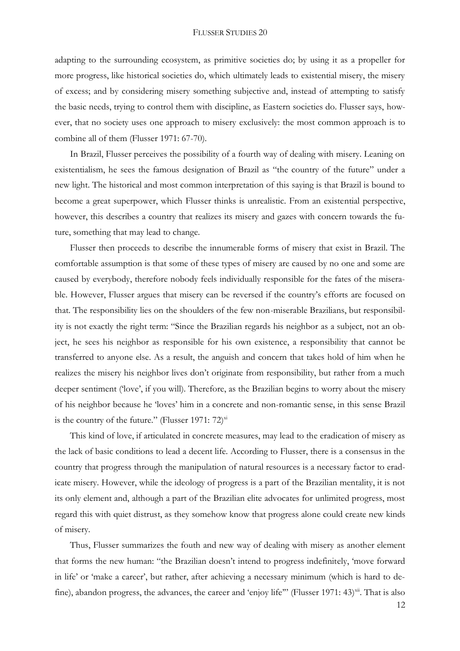adapting to the surrounding ecosystem, as primitive societies do; by using it as a propeller for more progress, like historical societies do, which ultimately leads to existential misery, the misery of excess; and by considering misery something subjective and, instead of attempting to satisfy the basic needs, trying to control them with discipline, as Eastern societies do. Flusser says, however, that no society uses one approach to misery exclusively: the most common approach is to combine all of them (Flusser 1971: 67-70).

In Brazil, Flusser perceives the possibility of a fourth way of dealing with misery. Leaning on existentialism, he sees the famous designation of Brazil as "the country of the future" under a new light. The historical and most common interpretation of this saying is that Brazil is bound to become a great superpower, which Flusser thinks is unrealistic. From an existential perspective, however, this describes a country that realizes its misery and gazes with concern towards the future, something that may lead to change.

Flusser then proceeds to describe the innumerable forms of misery that exist in Brazil. The comfortable assumption is that some of these types of misery are caused by no one and some are caused by everybody, therefore nobody feels individually responsible for the fates of the miserable. However, Flusser argues that misery can be reversed if the country's efforts are focused on that. The responsibility lies on the shoulders of the few non-miserable Brazilians, but responsibility is not exactly the right term: "Since the Brazilian regards his neighbor as a subject, not an object, he sees his neighbor as responsible for his own existence, a responsibility that cannot be transferred to anyone else. As a result, the anguish and concern that takes hold of him when he realizes the misery his neighbor lives don't originate from responsibility, but rather from a much deeper sentiment ('love', if you will). Therefore, as the Brazilian begins to worry about the misery of his neighbor because he 'loves' him in a concrete and non-romantic sense, in this sense Brazil is the country of the future." (Flusser 1971:  $72$ )<sup>xi</sup>

This kind of love, if articulated in concrete measures, may lead to the eradication of misery as the lack of basic conditions to lead a decent life. According to Flusser, there is a consensus in the country that progress through the manipulation of natural resources is a necessary factor to eradicate misery. However, while the ideology of progress is a part of the Brazilian mentality, it is not its only element and, although a part of the Brazilian elite advocates for unlimited progress, most regard this with quiet distrust, as they somehow know that progress alone could create new kinds of misery.

Thus, Flusser summarizes the fouth and new way of dealing with misery as another element that forms the new human: "the Brazilian doesn't intend to progress indefinitely, 'move forward in life' or 'make a career', but rather, after achieving a necessary minimum (which is hard to define), abandon progress, the advances, the career and 'enjoy life'" (Flusser 1971: 43)<sup>xii</sup>. That is also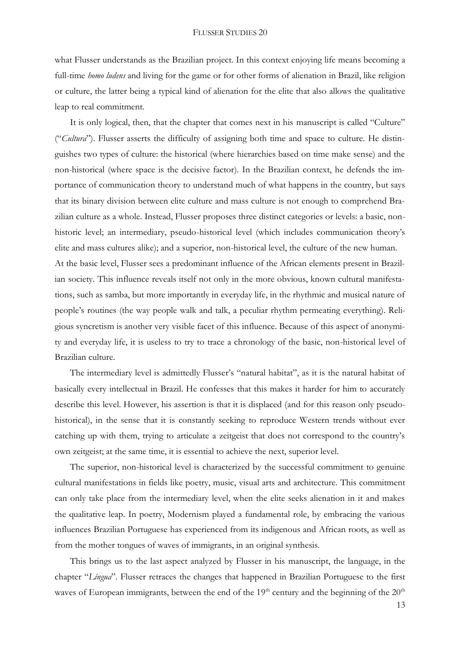what Flusser understands as the Brazilian project. In this context enjoying life means becoming a full-time *homo ludens* and living for the game or for other forms of alienation in Brazil, like religion or culture, the latter being a typical kind of alienation for the elite that also allows the qualitative leap to real commitment.

It is only logical, then, that the chapter that comes next in his manuscript is called "Culture" ("*Cultura*"). Flusser asserts the difficulty of assigning both time and space to culture. He distinguishes two types of culture: the historical (where hierarchies based on time make sense) and the non-historical (where space is the decisive factor). In the Brazilian context, he defends the importance of communication theory to understand much of what happens in the country, but says that its binary division between elite culture and mass culture is not enough to comprehend Brazilian culture as a whole. Instead, Flusser proposes three distinct categories or levels: a basic, nonhistoric level; an intermediary, pseudo-historical level (which includes communication theory's elite and mass cultures alike); and a superior, non-historical level, the culture of the new human. At the basic level, Flusser sees a predominant influence of the African elements present in Brazilian society. This influence reveals itself not only in the more obvious, known cultural manifestations, such as samba, but more importantly in everyday life, in the rhythmic and musical nature of people's routines (the way people walk and talk, a peculiar rhythm permeating everything). Religious syncretism is another very visible facet of this influence. Because of this aspect of anonymity and everyday life, it is useless to try to trace a chronology of the basic, non-historical level of Brazilian culture.

The intermediary level is admittedly Flusser's "natural habitat", as it is the natural habitat of basically every intellectual in Brazil. He confesses that this makes it harder for him to accurately describe this level. However, his assertion is that it is displaced (and for this reason only pseudohistorical), in the sense that it is constantly seeking to reproduce Western trends without ever catching up with them, trying to articulate a zeitgeist that does not correspond to the country's own zeitgeist; at the same time, it is essential to achieve the next, superior level.

The superior, non-historical level is characterized by the successful commitment to genuine cultural manifestations in fields like poetry, music, visual arts and architecture. This commitment can only take place from the intermediary level, when the elite seeks alienation in it and makes the qualitative leap. In poetry, Modernism played a fundamental role, by embracing the various influences Brazilian Portuguese has experienced from its indigenous and African roots, as well as from the mother tongues of waves of immigrants, in an original synthesis.

This brings us to the last aspect analyzed by Flusser in his manuscript, the language, in the chapter "*Língua*". Flusser retraces the changes that happened in Brazilian Portuguese to the first waves of European immigrants, between the end of the  $19<sup>th</sup>$  century and the beginning of the  $20<sup>th</sup>$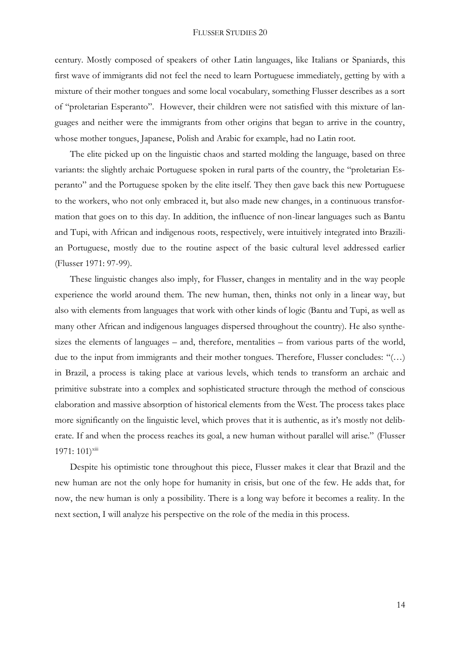century. Mostly composed of speakers of other Latin languages, like Italians or Spaniards, this first wave of immigrants did not feel the need to learn Portuguese immediately, getting by with a mixture of their mother tongues and some local vocabulary, something Flusser describes as a sort of "proletarian Esperanto". However, their children were not satisfied with this mixture of languages and neither were the immigrants from other origins that began to arrive in the country, whose mother tongues, Japanese, Polish and Arabic for example, had no Latin root.

The elite picked up on the linguistic chaos and started molding the language, based on three variants: the slightly archaic Portuguese spoken in rural parts of the country, the "proletarian Esperanto" and the Portuguese spoken by the elite itself. They then gave back this new Portuguese to the workers, who not only embraced it, but also made new changes, in a continuous transformation that goes on to this day. In addition, the influence of non-linear languages such as Bantu and Tupi, with African and indigenous roots, respectively, were intuitively integrated into Brazilian Portuguese, mostly due to the routine aspect of the basic cultural level addressed earlier (Flusser 1971: 97-99).

These linguistic changes also imply, for Flusser, changes in mentality and in the way people experience the world around them. The new human, then, thinks not only in a linear way, but also with elements from languages that work with other kinds of logic (Bantu and Tupi, as well as many other African and indigenous languages dispersed throughout the country). He also synthesizes the elements of languages – and, therefore, mentalities – from various parts of the world, due to the input from immigrants and their mother tongues. Therefore, Flusser concludes: "(…) in Brazil, a process is taking place at various levels, which tends to transform an archaic and primitive substrate into a complex and sophisticated structure through the method of conscious elaboration and massive absorption of historical elements from the West. The process takes place more significantly on the linguistic level, which proves that it is authentic, as it's mostly not deliberate. If and when the process reaches its goal, a new human without parallel will arise." (Flusser  $1971: 101$ <sup>xiii</sup>

Despite his optimistic tone throughout this piece, Flusser makes it clear that Brazil and the new human are not the only hope for humanity in crisis, but one of the few. He adds that, for now, the new human is only a possibility. There is a long way before it becomes a reality. In the next section, I will analyze his perspective on the role of the media in this process.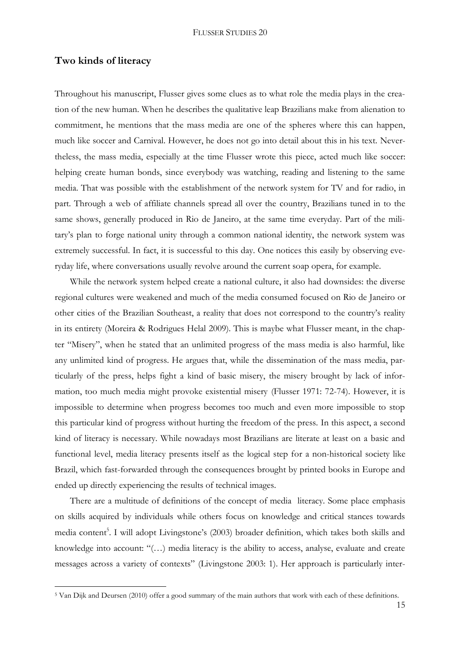### **Two kinds of literacy**

<u>.</u>

Throughout his manuscript, Flusser gives some clues as to what role the media plays in the creation of the new human. When he describes the qualitative leap Brazilians make from alienation to commitment, he mentions that the mass media are one of the spheres where this can happen, much like soccer and Carnival. However, he does not go into detail about this in his text. Nevertheless, the mass media, especially at the time Flusser wrote this piece, acted much like soccer: helping create human bonds, since everybody was watching, reading and listening to the same media. That was possible with the establishment of the network system for TV and for radio, in part. Through a web of affiliate channels spread all over the country, Brazilians tuned in to the same shows, generally produced in Rio de Janeiro, at the same time everyday. Part of the military's plan to forge national unity through a common national identity, the network system was extremely successful. In fact, it is successful to this day. One notices this easily by observing everyday life, where conversations usually revolve around the current soap opera, for example.

While the network system helped create a national culture, it also had downsides: the diverse regional cultures were weakened and much of the media consumed focused on Rio de Janeiro or other cities of the Brazilian Southeast, a reality that does not correspond to the country's reality in its entirety (Moreira & Rodrigues Helal 2009). This is maybe what Flusser meant, in the chapter "Misery", when he stated that an unlimited progress of the mass media is also harmful, like any unlimited kind of progress. He argues that, while the dissemination of the mass media, particularly of the press, helps fight a kind of basic misery, the misery brought by lack of information, too much media might provoke existential misery (Flusser 1971: 72-74). However, it is impossible to determine when progress becomes too much and even more impossible to stop this particular kind of progress without hurting the freedom of the press. In this aspect, a second kind of literacy is necessary. While nowadays most Brazilians are literate at least on a basic and functional level, media literacy presents itself as the logical step for a non-historical society like Brazil, which fast-forwarded through the consequences brought by printed books in Europe and ended up directly experiencing the results of technical images.

There are a multitude of definitions of the concept of media literacy. Some place emphasis on skills acquired by individuals while others focus on knowledge and critical stances towards media content<sup>5</sup>. I will adopt Livingstone's (2003) broader definition, which takes both skills and knowledge into account: "(…) media literacy is the ability to access, analyse, evaluate and create messages across a variety of contexts" (Livingstone 2003: 1). Her approach is particularly inter-

<sup>5</sup> Van Dijk and Deursen (2010) offer a good summary of the main authors that work with each of these definitions.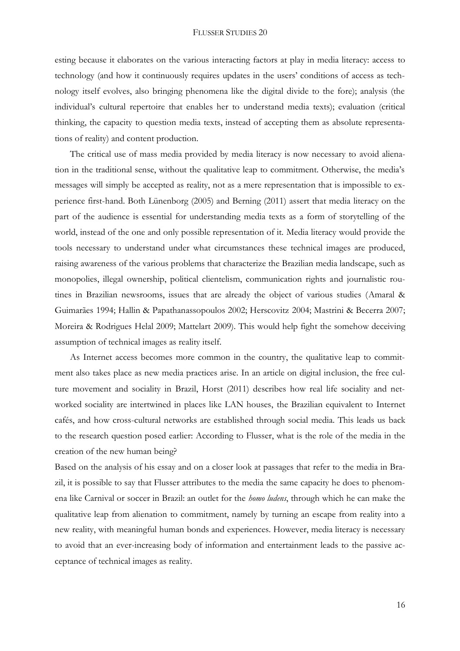esting because it elaborates on the various interacting factors at play in media literacy: access to technology (and how it continuously requires updates in the users' conditions of access as technology itself evolves, also bringing phenomena like the digital divide to the fore); analysis (the individual's cultural repertoire that enables her to understand media texts); evaluation (critical thinking, the capacity to question media texts, instead of accepting them as absolute representations of reality) and content production.

The critical use of mass media provided by media literacy is now necessary to avoid alienation in the traditional sense, without the qualitative leap to commitment. Otherwise, the media's messages will simply be accepted as reality, not as a mere representation that is impossible to experience first-hand. Both Lünenborg (2005) and Berning (2011) assert that media literacy on the part of the audience is essential for understanding media texts as a form of storytelling of the world, instead of the one and only possible representation of it. Media literacy would provide the tools necessary to understand under what circumstances these technical images are produced, raising awareness of the various problems that characterize the Brazilian media landscape, such as monopolies, illegal ownership, political clientelism, communication rights and journalistic routines in Brazilian newsrooms, issues that are already the object of various studies (Amaral & Guimarães 1994; Hallin & Papathanassopoulos 2002; Herscovitz 2004; Mastrini & Becerra 2007; Moreira & Rodrigues Helal 2009; Mattelart 2009). This would help fight the somehow deceiving assumption of technical images as reality itself.

As Internet access becomes more common in the country, the qualitative leap to commitment also takes place as new media practices arise. In an article on digital inclusion, the free culture movement and sociality in Brazil, Horst (2011) describes how real life sociality and networked sociality are intertwined in places like LAN houses, the Brazilian equivalent to Internet cafés, and how cross-cultural networks are established through social media. This leads us back to the research question posed earlier: According to Flusser, what is the role of the media in the creation of the new human being?

Based on the analysis of his essay and on a closer look at passages that refer to the media in Brazil, it is possible to say that Flusser attributes to the media the same capacity he does to phenomena like Carnival or soccer in Brazil: an outlet for the *homo ludens*, through which he can make the qualitative leap from alienation to commitment, namely by turning an escape from reality into a new reality, with meaningful human bonds and experiences. However, media literacy is necessary to avoid that an ever-increasing body of information and entertainment leads to the passive acceptance of technical images as reality.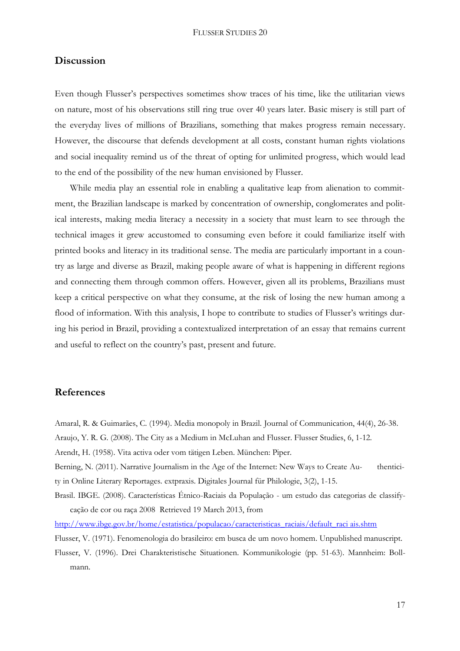## **Discussion**

Even though Flusser's perspectives sometimes show traces of his time, like the utilitarian views on nature, most of his observations still ring true over 40 years later. Basic misery is still part of the everyday lives of millions of Brazilians, something that makes progress remain necessary. However, the discourse that defends development at all costs, constant human rights violations and social inequality remind us of the threat of opting for unlimited progress, which would lead to the end of the possibility of the new human envisioned by Flusser.

While media play an essential role in enabling a qualitative leap from alienation to commitment, the Brazilian landscape is marked by concentration of ownership, conglomerates and political interests, making media literacy a necessity in a society that must learn to see through the technical images it grew accustomed to consuming even before it could familiarize itself with printed books and literacy in its traditional sense. The media are particularly important in a country as large and diverse as Brazil, making people aware of what is happening in different regions and connecting them through common offers. However, given all its problems, Brazilians must keep a critical perspective on what they consume, at the risk of losing the new human among a flood of information. With this analysis, I hope to contribute to studies of Flusser's writings during his period in Brazil, providing a contextualized interpretation of an essay that remains current and useful to reflect on the country's past, present and future.

# **References**

Amaral, R. & Guimarães, C. (1994). Media monopoly in Brazil. Journal of Communication, 44(4), 26-38. Araujo, Y. R. G. (2008). The City as a Medium in McLuhan and Flusser. Flusser Studies, 6, 1-12. Arendt, H. (1958). Vita activa oder vom tätigen Leben. München: Piper. Berning, N. (2011). Narrative Journalism in the Age of the Internet: New Ways to Create Au- thenticity in Online Literary Reportages. extpraxis. Digitales Journal für Philologie, 3(2), 1-15. Brasil. IBGE. (2008). Características Étnico-Raciais da População - um estudo das categorias de classifycação de cor ou raça 2008 Retrieved 19 March 2013, from [http://www.ibge.gov.br/home/estatistica/populacao/caracteristicas\\_raciais/default\\_raci ais.shtm](http://www.ibge.gov.br/home/estatistica/populacao/caracteristicas_raciais/default_raci%20ais.shtm) Flusser, V. (1971). Fenomenologia do brasileiro: em busca de um novo homem. Unpublished manuscript. Flusser, V. (1996). Drei Charakteristische Situationen. Kommunikologie (pp. 51-63). Mannheim: Bollmann.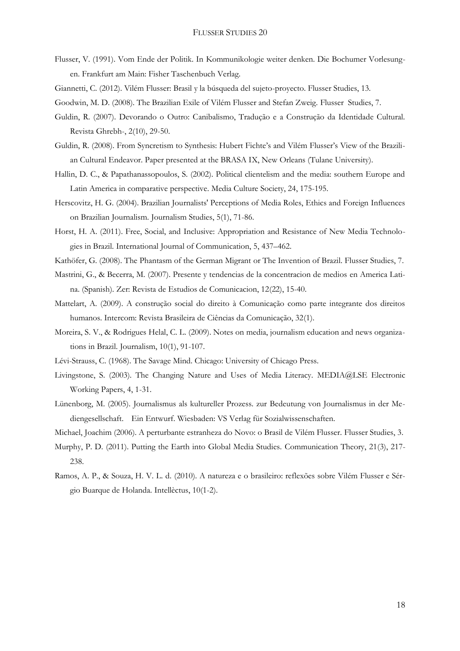- Flusser, V. (1991). Vom Ende der Politik. In Kommunikologie weiter denken. Die Bochumer Vorlesungen. Frankfurt am Main: Fisher Taschenbuch Verlag.
- Giannetti, C. (2012). Vilém Flusser: Brasil y la búsqueda del sujeto-proyecto. Flusser Studies, 13.
- Goodwin, M. D. (2008). The Brazilian Exile of Vilém Flusser and Stefan Zweig. Flusser Studies, 7.
- Guldin, R. (2007). Devorando o Outro: Canibalismo, Tradução e a Construção da Identidade Cultural. Revista Ghrebh-, 2(10), 29-50.
- Guldin, R. (2008). From Syncretism to Synthesis: Hubert Fichte's and Vilém Flusser's View of the Brazilian Cultural Endeavor. Paper presented at the BRASA IX, New Orleans (Tulane University).
- Hallin, D. C., & Papathanassopoulos, S. (2002). Political clientelism and the media: southern Europe and Latin America in comparative perspective. Media Culture Society, 24, 175-195.
- Herscovitz, H. G. (2004). Brazilian Journalists' Perceptions of Media Roles, Ethics and Foreign Influences on Brazilian Journalism. Journalism Studies, 5(1), 71-86.
- Horst, H. A. (2011). Free, Social, and Inclusive: Appropriation and Resistance of New Media Technologies in Brazil. International Journal of Communication, 5, 437–462.
- Kathöfer, G. (2008). The Phantasm of the German Migrant or The Invention of Brazil. Flusser Studies, 7.
- Mastrini, G., & Becerra, M. (2007). Presente y tendencias de la concentracion de medios en America Latina. (Spanish). Zer: Revista de Estudios de Comunicacion, 12(22), 15-40.
- Mattelart, A. (2009). A construção social do direito à Comunicação como parte integrante dos direitos humanos. Intercom: Revista Brasileira de Ciências da Comunicação, 32(1).
- Moreira, S. V., & Rodrigues Helal, C. L. (2009). Notes on media, journalism education and news organizations in Brazil. Journalism, 10(1), 91-107.
- Lévi-Strauss, C. (1968). The Savage Mind. Chicago: University of Chicago Press.
- Livingstone, S. (2003). The Changing Nature and Uses of Media Literacy. MEDIA@LSE Electronic Working Papers, 4, 1-31.
- Lünenborg, M. (2005). Journalismus als kultureller Prozess. zur Bedeutung von Journalismus in der Mediengesellschaft. Ein Entwurf. Wiesbaden: VS Verlag für Sozialwissenschaften.
- Michael, Joachim (2006). A perturbante estranheza do Novo: o Brasil de Vilém Flusser. Flusser Studies, 3.
- Murphy, P. D. (2011). Putting the Earth into Global Media Studies. Communication Theory, 21(3), 217- 238.
- Ramos, A. P., & Souza, H. V. L. d. (2010). A natureza e o brasileiro: reflexões sobre Vilém Flusser e Sérgio Buarque de Holanda. Intellèctus, 10(1-2).